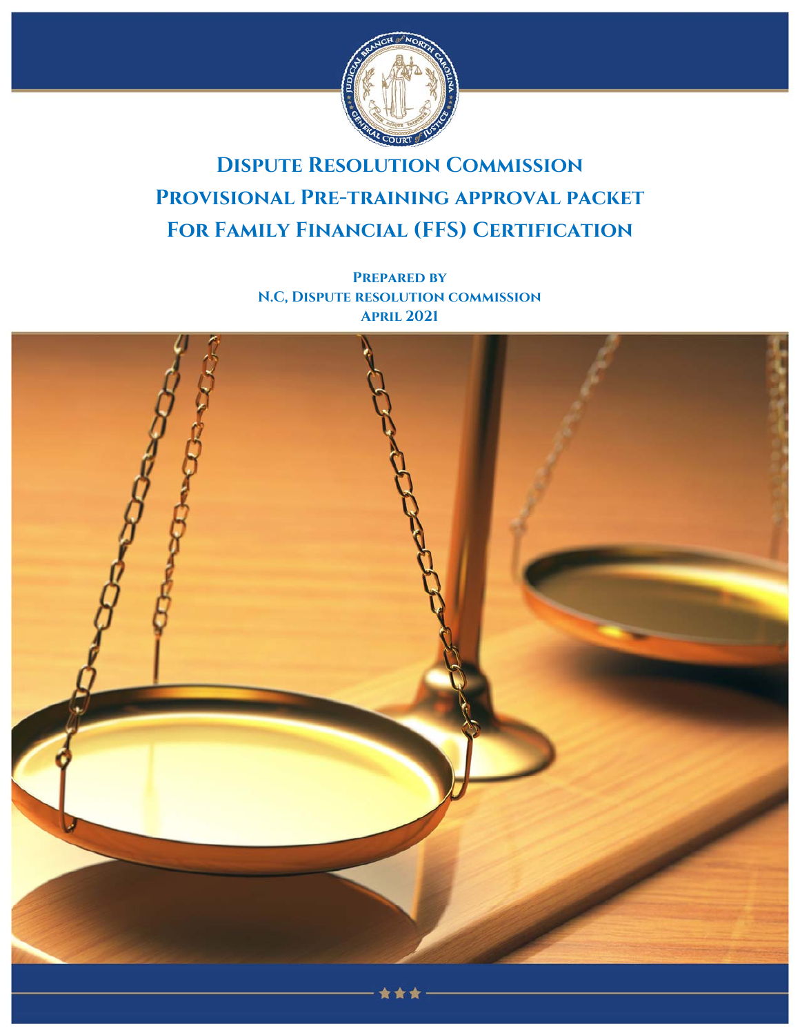

# **Dispute Resolution Commission Provisional Pre-training approval packet For Family Financial (FFS) Certification**

**Prepared by N.C, Dispute resolution commission April 2021**

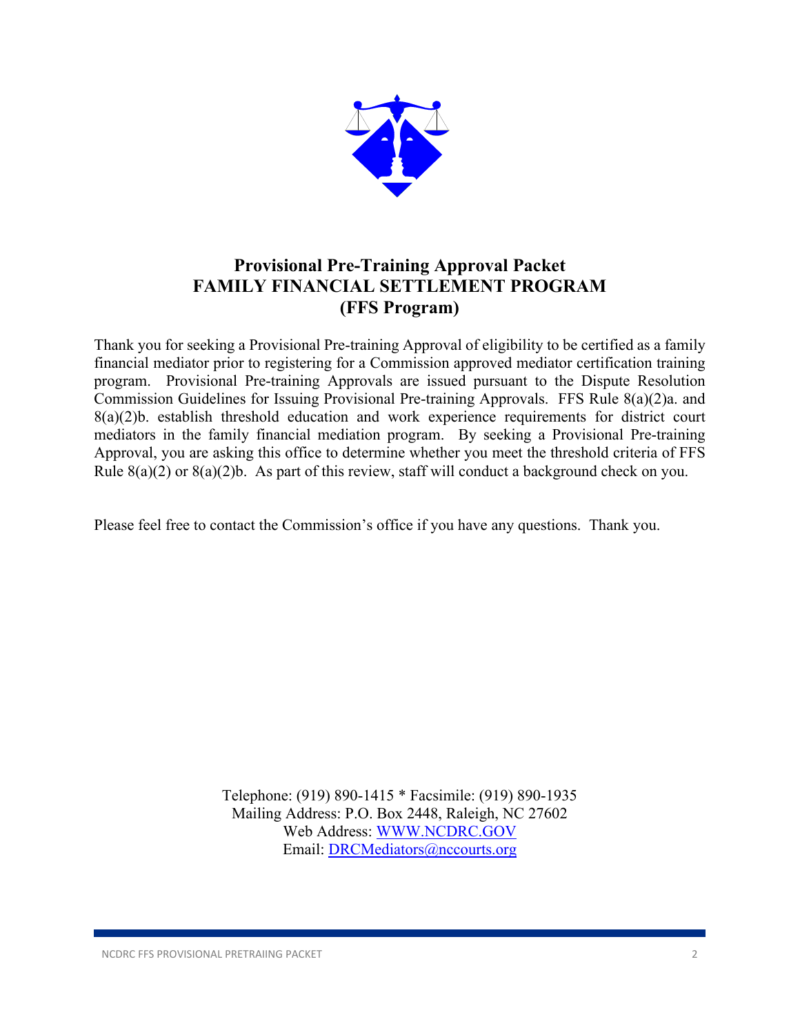

## **Provisional Pre-Training Approval Packet FAMILY FINANCIAL SETTLEMENT PROGRAM (FFS Program)**

Thank you for seeking a Provisional Pre-training Approval of eligibility to be certified as a family financial mediator prior to registering for a Commission approved mediator certification training program. Provisional Pre-training Approvals are issued pursuant to the Dispute Resolution Commission Guidelines for Issuing Provisional Pre-training Approvals. FFS Rule 8(a)(2)a. and 8(a)(2)b. establish threshold education and work experience requirements for district court mediators in the family financial mediation program. By seeking a Provisional Pre-training Approval, you are asking this office to determine whether you meet the threshold criteria of FFS Rule  $8(a)(2)$  or  $8(a)(2)b$ . As part of this review, staff will conduct a background check on you.

Please feel free to contact the Commission's office if you have any questions. Thank you.

Telephone: (919) 890-1415 \* Facsimile: (919) 890-1935 Mailing Address: P.O. Box 2448, Raleigh, NC 27602 Web Address: WWW.NCDRC.GOV Email: DRCMediators@nccourts.org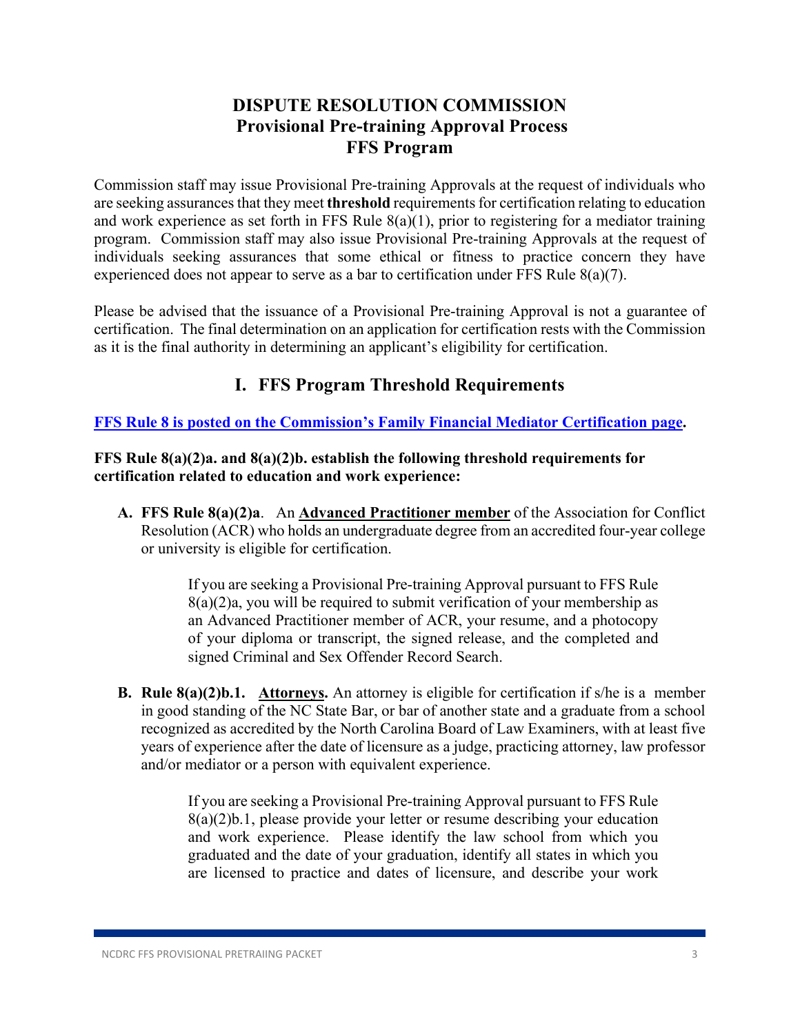### **DISPUTE RESOLUTION COMMISSION Provisional Pre-training Approval Process FFS Program**

Commission staff may issue Provisional Pre-training Approvals at the request of individuals who are seeking assurances that they meet **threshold** requirements for certification relating to education and work experience as set forth in FFS Rule 8(a)(1), prior to registering for a mediator training program. Commission staff may also issue Provisional Pre-training Approvals at the request of individuals seeking assurances that some ethical or fitness to practice concern they have experienced does not appear to serve as a bar to certification under FFS Rule 8(a)(7).

Please be advised that the issuance of a Provisional Pre-training Approval is not a guarantee of certification. The final determination on an application for certification rests with the Commission as it is the final authority in determining an applicant's eligibility for certification.

### **I. FFS Program Threshold Requirements**

**FFS Rule 8 is posted on the Commission's Family Financial Mediator Certification page.** 

#### **FFS Rule 8(a)(2)a. and 8(a)(2)b. establish the following threshold requirements for certification related to education and work experience:**

**A. FFS Rule 8(a)(2)a**. An **Advanced Practitioner member** of the Association for Conflict Resolution (ACR) who holds an undergraduate degree from an accredited four-year college or university is eligible for certification.

> If you are seeking a Provisional Pre-training Approval pursuant to FFS Rule  $8(a)(2)a$ , you will be required to submit verification of your membership as an Advanced Practitioner member of ACR, your resume, and a photocopy of your diploma or transcript, the signed release, and the completed and signed Criminal and Sex Offender Record Search.

**B. Rule 8(a)(2)b.1. Attorneys.** An attorney is eligible for certification if s/he is a member in good standing of the NC State Bar, or bar of another state and a graduate from a school recognized as accredited by the North Carolina Board of Law Examiners, with at least five years of experience after the date of licensure as a judge, practicing attorney, law professor and/or mediator or a person with equivalent experience.

> If you are seeking a Provisional Pre-training Approval pursuant to FFS Rule 8(a)(2)b.1, please provide your letter or resume describing your education and work experience. Please identify the law school from which you graduated and the date of your graduation, identify all states in which you are licensed to practice and dates of licensure, and describe your work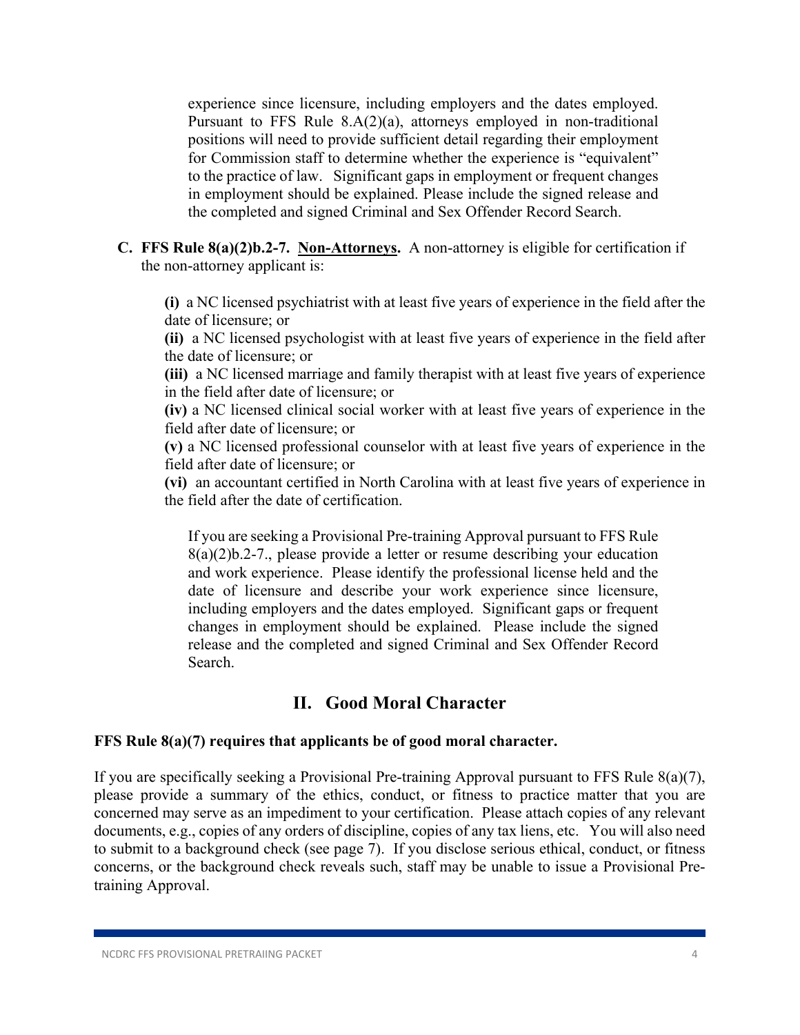experience since licensure, including employers and the dates employed. Pursuant to FFS Rule 8.A(2)(a), attorneys employed in non-traditional positions will need to provide sufficient detail regarding their employment for Commission staff to determine whether the experience is "equivalent" to the practice of law. Significant gaps in employment or frequent changes in employment should be explained. Please include the signed release and the completed and signed Criminal and Sex Offender Record Search.

**C. FFS Rule 8(a)(2)b.2-7. Non-Attorneys.** A non-attorney is eligible for certification if the non-attorney applicant is:

**(i)** a NC licensed psychiatrist with at least five years of experience in the field after the date of licensure; or

**(ii)** a NC licensed psychologist with at least five years of experience in the field after the date of licensure; or

**(iii)** a NC licensed marriage and family therapist with at least five years of experience in the field after date of licensure; or

**(iv)** a NC licensed clinical social worker with at least five years of experience in the field after date of licensure; or

**(v)** a NC licensed professional counselor with at least five years of experience in the field after date of licensure; or

**(vi)** an accountant certified in North Carolina with at least five years of experience in the field after the date of certification.

If you are seeking a Provisional Pre-training Approval pursuant to FFS Rule 8(a)(2)b.2-7., please provide a letter or resume describing your education and work experience. Please identify the professional license held and the date of licensure and describe your work experience since licensure, including employers and the dates employed. Significant gaps or frequent changes in employment should be explained. Please include the signed release and the completed and signed Criminal and Sex Offender Record Search.

### **II. Good Moral Character**

#### **FFS Rule 8(a)(7) requires that applicants be of good moral character.**

If you are specifically seeking a Provisional Pre-training Approval pursuant to FFS Rule 8(a)(7), please provide a summary of the ethics, conduct, or fitness to practice matter that you are concerned may serve as an impediment to your certification. Please attach copies of any relevant documents, e.g., copies of any orders of discipline, copies of any tax liens, etc. You will also need to submit to a background check (see page 7). If you disclose serious ethical, conduct, or fitness concerns, or the background check reveals such, staff may be unable to issue a Provisional Pretraining Approval.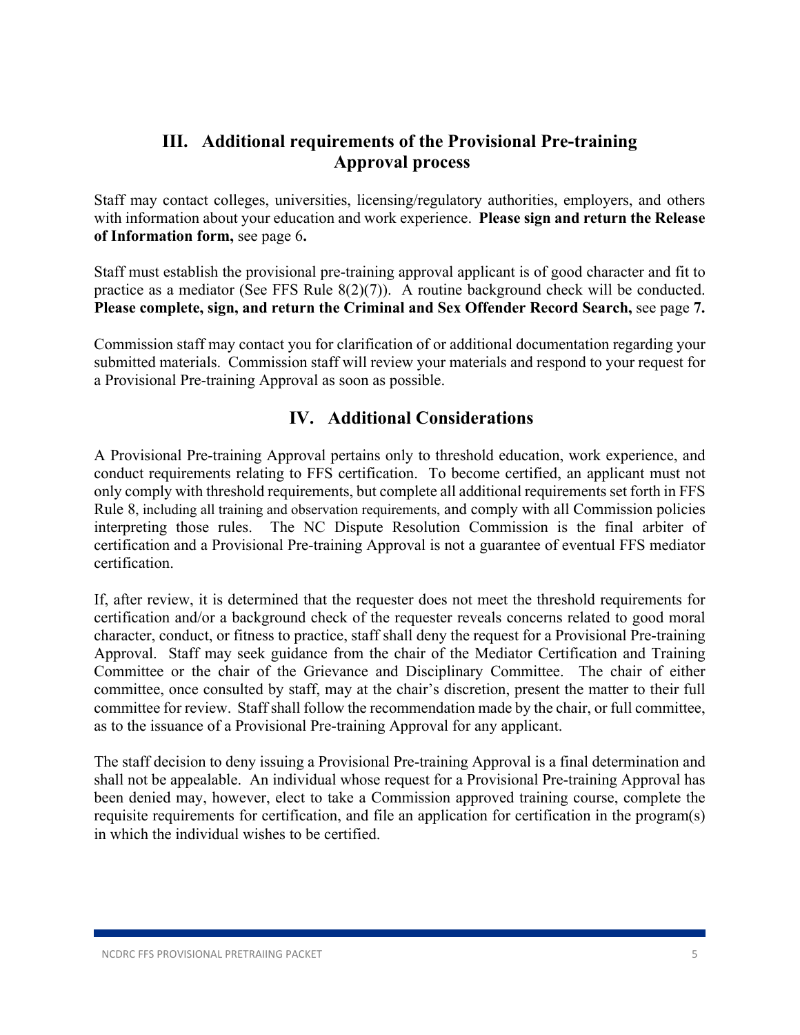### **III. Additional requirements of the Provisional Pre-training Approval process**

Staff may contact colleges, universities, licensing/regulatory authorities, employers, and others with information about your education and work experience. **Please sign and return the Release of Information form,** see page 6**.** 

Staff must establish the provisional pre-training approval applicant is of good character and fit to practice as a mediator (See FFS Rule 8(2)(7)). A routine background check will be conducted. **Please complete, sign, and return the Criminal and Sex Offender Record Search,** see page **7.** 

Commission staff may contact you for clarification of or additional documentation regarding your submitted materials. Commission staff will review your materials and respond to your request for a Provisional Pre-training Approval as soon as possible.

### **IV. Additional Considerations**

A Provisional Pre-training Approval pertains only to threshold education, work experience, and conduct requirements relating to FFS certification. To become certified, an applicant must not only comply with threshold requirements, but complete all additional requirements set forth in FFS Rule 8, including all training and observation requirements, and comply with all Commission policies interpreting those rules. The NC Dispute Resolution Commission is the final arbiter of certification and a Provisional Pre-training Approval is not a guarantee of eventual FFS mediator certification.

If, after review, it is determined that the requester does not meet the threshold requirements for certification and/or a background check of the requester reveals concerns related to good moral character, conduct, or fitness to practice, staff shall deny the request for a Provisional Pre-training Approval. Staff may seek guidance from the chair of the Mediator Certification and Training Committee or the chair of the Grievance and Disciplinary Committee. The chair of either committee, once consulted by staff, may at the chair's discretion, present the matter to their full committee for review. Staff shall follow the recommendation made by the chair, or full committee, as to the issuance of a Provisional Pre-training Approval for any applicant.

The staff decision to deny issuing a Provisional Pre-training Approval is a final determination and shall not be appealable. An individual whose request for a Provisional Pre-training Approval has been denied may, however, elect to take a Commission approved training course, complete the requisite requirements for certification, and file an application for certification in the program(s) in which the individual wishes to be certified.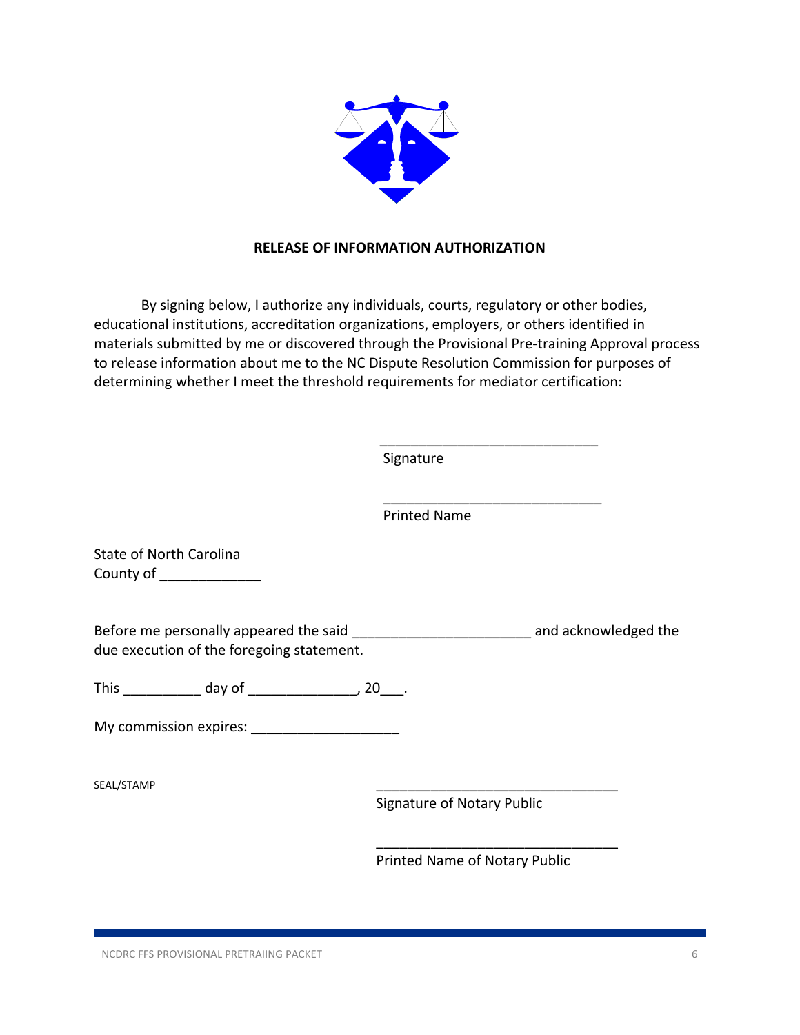

#### **RELEASE OF INFORMATION AUTHORIZATION**

By signing below, I authorize any individuals, courts, regulatory or other bodies, educational institutions, accreditation organizations, employers, or others identified in materials submitted by me or discovered through the Provisional Pre‐training Approval process to release information about me to the NC Dispute Resolution Commission for purposes of determining whether I meet the threshold requirements for mediator certification:

Signature

Printed Name

\_\_\_\_\_\_\_\_\_\_\_\_\_\_\_\_\_\_\_\_\_\_\_\_\_\_\_\_

State of North Carolina County of \_\_\_\_\_\_\_\_\_\_\_\_\_\_

Before me personally appeared the said \_\_\_\_\_\_\_\_\_\_\_\_\_\_\_\_\_\_\_\_\_\_\_\_\_\_\_\_\_\_\_\_\_\_\_ and acknowledged the due execution of the foregoing statement.

 $\overline{\phantom{a}}$  , and the contract of the contract of the contract of the contract of the contract of the contract of the contract of the contract of the contract of the contract of the contract of the contract of the contrac

 $\overline{\phantom{a}}$  , and the contract of the contract of the contract of the contract of the contract of the contract of the contract of the contract of the contract of the contract of the contract of the contract of the contrac

This day of this day of the set of the set of the set of the set of the set of the set of the set of the set o

My commission expires:

SEAL/STAMP \_\_\_\_\_\_\_\_\_\_\_\_\_\_\_\_\_\_\_\_\_\_\_\_\_\_\_\_\_\_\_

Signature of Notary Public

Printed Name of Notary Public